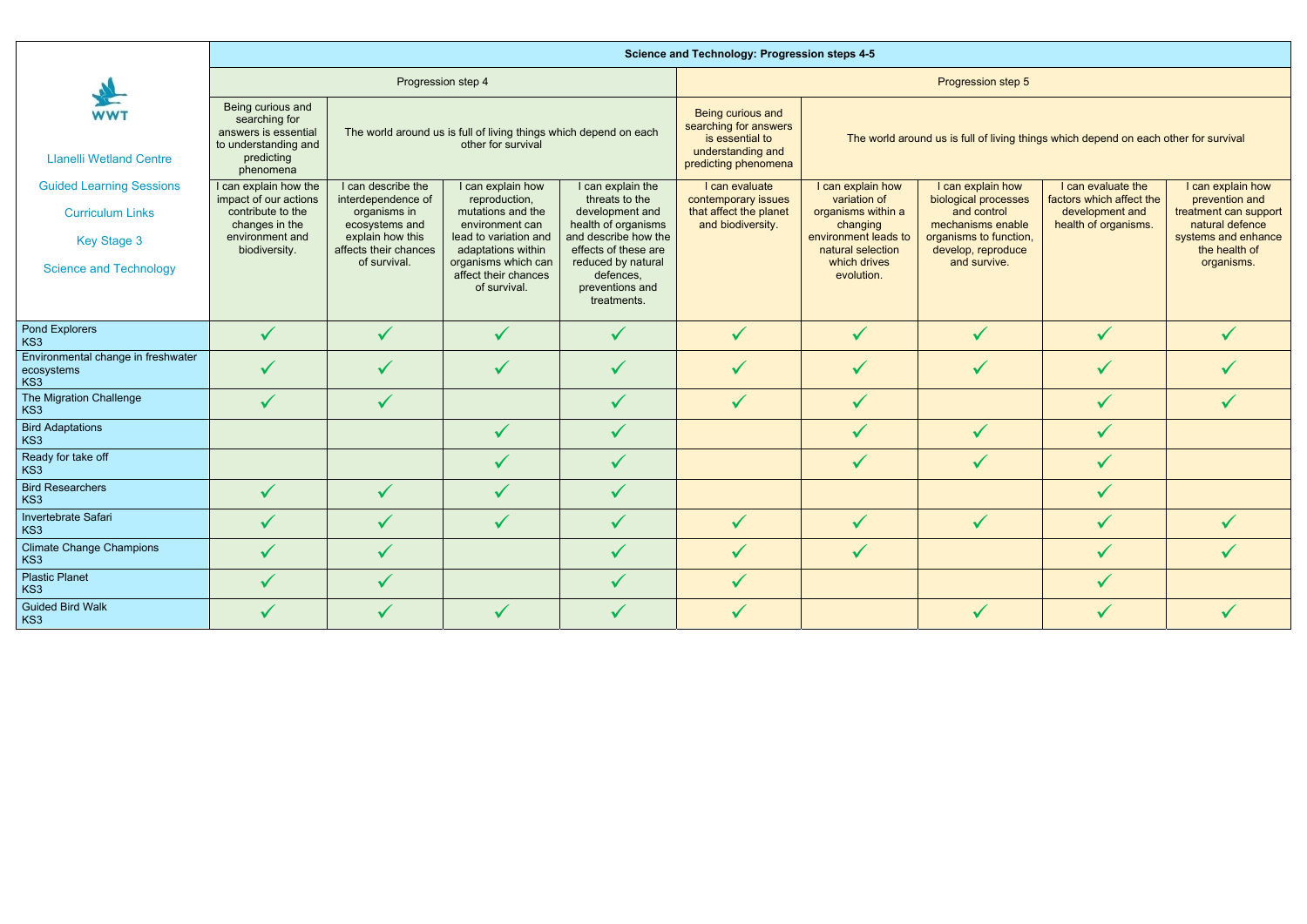|                                                                                                                   | <b>Science and Technology: Progression steps 4-5</b>                                                                      |                                                                                                                                         |                                                                                                                                                                                          |                                                                                                                                                                                                    |                                                                                                                   |                                                                                                                                                |                                                                                                                                               |                                                                                           |                                                                                                                                       |  |  |  |  |
|-------------------------------------------------------------------------------------------------------------------|---------------------------------------------------------------------------------------------------------------------------|-----------------------------------------------------------------------------------------------------------------------------------------|------------------------------------------------------------------------------------------------------------------------------------------------------------------------------------------|----------------------------------------------------------------------------------------------------------------------------------------------------------------------------------------------------|-------------------------------------------------------------------------------------------------------------------|------------------------------------------------------------------------------------------------------------------------------------------------|-----------------------------------------------------------------------------------------------------------------------------------------------|-------------------------------------------------------------------------------------------|---------------------------------------------------------------------------------------------------------------------------------------|--|--|--|--|
|                                                                                                                   |                                                                                                                           | Progression step 4                                                                                                                      |                                                                                                                                                                                          |                                                                                                                                                                                                    | Progression step 5                                                                                                |                                                                                                                                                |                                                                                                                                               |                                                                                           |                                                                                                                                       |  |  |  |  |
| <b>WWT</b><br><b>Llanelli Wetland Centre</b>                                                                      | Being curious and<br>searching for<br>answers is essential<br>to understanding and<br>predicting<br>phenomena             |                                                                                                                                         | The world around us is full of living things which depend on each<br>other for survival                                                                                                  |                                                                                                                                                                                                    | <b>Being curious and</b><br>searching for answers<br>is essential to<br>understanding and<br>predicting phenomena | The world around us is full of living things which depend on each other for survival                                                           |                                                                                                                                               |                                                                                           |                                                                                                                                       |  |  |  |  |
| <b>Guided Learning Sessions</b><br><b>Curriculum Links</b><br><b>Key Stage 3</b><br><b>Science and Technology</b> | I can explain how the<br>impact of our actions<br>contribute to the<br>changes in the<br>environment and<br>biodiversity. | I can describe the<br>interdependence of<br>organisms in<br>ecosystems and<br>explain how this<br>affects their chances<br>of survival. | I can explain how<br>reproduction,<br>mutations and the<br>environment can<br>lead to variation and<br>adaptations within<br>organisms which can<br>affect their chances<br>of survival. | I can explain the<br>threats to the<br>development and<br>health of organisms<br>and describe how the<br>effects of these are<br>reduced by natural<br>defences,<br>preventions and<br>treatments. | I can evaluate<br>contemporary issues<br>that affect the planet<br>and biodiversity.                              | I can explain how<br>variation of<br>organisms within a<br>changing<br>environment leads to<br>natural selection<br>which drives<br>evolution. | I can explain how<br>biological processes<br>and control<br>mechanisms enable<br>organisms to function,<br>develop, reproduce<br>and survive. | I can evaluate the<br>factors which affect the<br>development and<br>health of organisms. | I can explain how<br>prevention and<br>treatment can support<br>natural defence<br>systems and enhance<br>the health of<br>organisms. |  |  |  |  |
| Pond Explorers<br>KS3                                                                                             | $\checkmark$                                                                                                              | $\checkmark$                                                                                                                            | $\checkmark$                                                                                                                                                                             | $\checkmark$                                                                                                                                                                                       | $\checkmark$                                                                                                      | $\checkmark$                                                                                                                                   | $\checkmark$                                                                                                                                  | $\checkmark$                                                                              |                                                                                                                                       |  |  |  |  |
| Environmental change in freshwater<br>ecosystems<br>KS3                                                           |                                                                                                                           |                                                                                                                                         | $\checkmark$                                                                                                                                                                             | $\checkmark$                                                                                                                                                                                       |                                                                                                                   | $\checkmark$                                                                                                                                   | $\checkmark$                                                                                                                                  | $\checkmark$                                                                              |                                                                                                                                       |  |  |  |  |
| The Migration Challenge<br>KS3                                                                                    | $\checkmark$                                                                                                              | $\checkmark$                                                                                                                            |                                                                                                                                                                                          |                                                                                                                                                                                                    |                                                                                                                   | $\checkmark$                                                                                                                                   |                                                                                                                                               | $\checkmark$                                                                              |                                                                                                                                       |  |  |  |  |
| <b>Bird Adaptations</b><br>KS3                                                                                    |                                                                                                                           |                                                                                                                                         | $\checkmark$                                                                                                                                                                             |                                                                                                                                                                                                    |                                                                                                                   |                                                                                                                                                | $\checkmark$                                                                                                                                  | $\checkmark$                                                                              |                                                                                                                                       |  |  |  |  |
| Ready for take off<br>KS3                                                                                         |                                                                                                                           |                                                                                                                                         | $\checkmark$                                                                                                                                                                             | $\checkmark$                                                                                                                                                                                       |                                                                                                                   | $\checkmark$                                                                                                                                   | $\checkmark$                                                                                                                                  | $\checkmark$                                                                              |                                                                                                                                       |  |  |  |  |
| <b>Bird Researchers</b><br>KS3                                                                                    | $\checkmark$                                                                                                              |                                                                                                                                         | $\checkmark$                                                                                                                                                                             |                                                                                                                                                                                                    |                                                                                                                   |                                                                                                                                                |                                                                                                                                               | $\checkmark$                                                                              |                                                                                                                                       |  |  |  |  |
| Invertebrate Safari<br>KS3                                                                                        |                                                                                                                           |                                                                                                                                         |                                                                                                                                                                                          |                                                                                                                                                                                                    |                                                                                                                   |                                                                                                                                                |                                                                                                                                               | $\checkmark$                                                                              |                                                                                                                                       |  |  |  |  |
| <b>Climate Change Champions</b><br>KS3                                                                            | $\checkmark$                                                                                                              | $\checkmark$                                                                                                                            |                                                                                                                                                                                          | $\checkmark$                                                                                                                                                                                       | $\checkmark$                                                                                                      | $\checkmark$                                                                                                                                   |                                                                                                                                               | $\checkmark$                                                                              |                                                                                                                                       |  |  |  |  |
| <b>Plastic Planet</b><br>KS3                                                                                      |                                                                                                                           |                                                                                                                                         |                                                                                                                                                                                          |                                                                                                                                                                                                    |                                                                                                                   |                                                                                                                                                |                                                                                                                                               | $\checkmark$                                                                              |                                                                                                                                       |  |  |  |  |
| <b>Guided Bird Walk</b><br>KS3                                                                                    | $\checkmark$                                                                                                              | $\checkmark$                                                                                                                            | $\checkmark$                                                                                                                                                                             |                                                                                                                                                                                                    | $\checkmark$                                                                                                      |                                                                                                                                                | $\checkmark$                                                                                                                                  | $\checkmark$                                                                              |                                                                                                                                       |  |  |  |  |